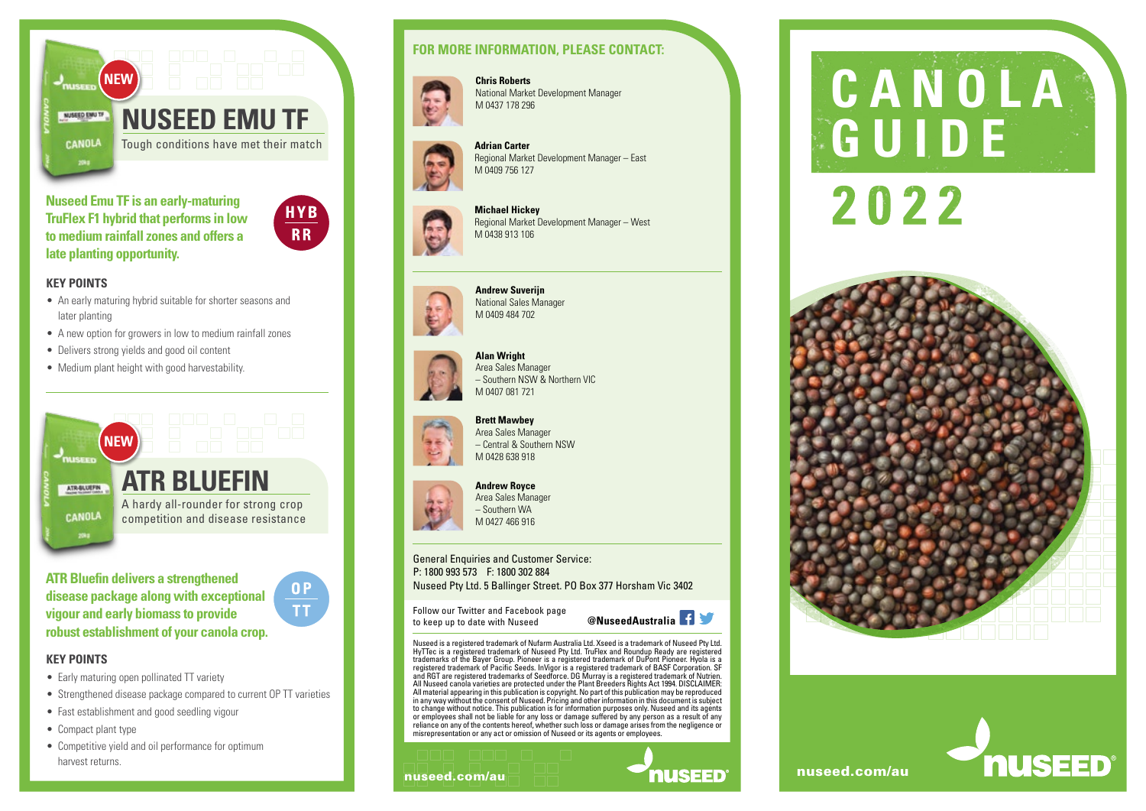

**Nuseed Emu TF is an early-maturing TruFlex F1 hybrid that performs in low to medium rainfall zones and offers a** 



 $0P$  $\overline{\mathbf{T}}$ 

# **late planting opportunity.**

- **KEY POINTS**
- An early maturing hybrid suitable for shorter seasons and later planting
- A new option for growers in low to medium rainfall zones
- Delivers strong yields and good oil content
- Medium plant height with good harvestability.



**ATR Bluefin delivers a strengthened disease package along with exceptional vigour and early biomass to provide robust establishment of your canola crop.**

#### **KEY POINTS**

- Early maturing open pollinated TT variety
- Strengthened disease package compared to current OP TT varieties
- Fast establishment and good seedling vigour
- Compact plant type
- Competitive yield and oil performance for optimum harvest returns.

#### **FOR MORE INFORMATION, PLEASE CONTACT:**



**Chris Roberts** National Market Development Manager M 0437 178 296



**Adrian Carter** Regional Market Development Manager – East M 0409 756 127



**Michael Hickey** Regional Market Development Manager – West M 0438 913 106



**Andrew Suverijn** National Sales Manager M 0409 484 702



**Alan Wright** Area Sales Manager – Southern NSW & Northern VIC M 0407 081 721

– Central & Southern NSW M 0428 638 918



**Brett Mawbey** Area Sales Manager

# **Andrew Royce**

Area Sales Manager – Southern WA M 0427 466 916

General Enquiries and Customer Service: P: 1800 993 573 F: 1800 302 884 Nuseed Pty Ltd. 5 Ballinger Street. PO Box 377 Horsham Vic 3402

Follow our Twitter and Facebook page to keep up to date with Nuseed **@NuseedAustralia**

Nuseed is a registered trademark of Nufarm Australia Ltd. Xseed is a trademark of Nuseed Pty Ltd. HyTTec is a registered trademark of Nuseed Pty Ltd. TruFlex and Roundup Ready are registered trademarks of the Bayer Group. Pioneer is a registered trademark of DuPont Pioneer. Hyola is a registered trademark of Pacific Seeds. InVigor is a registered trademark of BASF Corporation. SF and RGT are registered trademarks of Seedforce. DG Murray is a registered trademark of Nutrien. All Nuseed canola varieties are protected under the Plant Breeders Rights Act 1994. DISCLAIMER: All material appearing in this publication is copyright. No part of this publication may be reproduced in any way without the consent of Nuseed. Pricing and other information in this document is subject to change without notice. This publication is for information purposes only. Nuseed and its agents or employees shall not be liable for any loss or damage suffered by any person as a result of any reliance on any of the contents hereof, whether such loss or damage arises from the negligence or misrepresentation or any act or omission of Nuseed or its agents or employees.

# nuseed.com/au  $\blacksquare$  **nuseed.com/au** nuseed.com/au

# **CANOLA** 2022